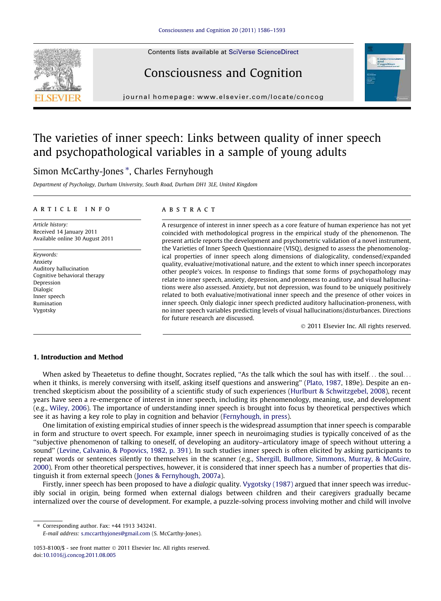Contents lists available at SciVerse ScienceDirect

# Consciousness and Cognition



journal homepage: www.elsevier.com/locate/concog

## The varieties of inner speech: Links between quality of inner speech and psychopathological variables in a sample of young adults

### Simon McCarthy-Jones<sup>\*</sup>, Charles Fernyhough

*Department of Psychology, Durham University, South Road, Durham DH1 3LE, United Kingdom*

#### article info

*Article history:* Received 14 January 2011 Available online 30 August 2011

*Keywords:* Anxiety Auditory hallucination Cognitive behavioral therapy Depression Dialogic Inner speech Rumination Vygotsky

#### **ABSTRACT**

A resurgence of interest in inner speech as a core feature of human experience has not yet coincided with methodological progress in the empirical study of the phenomenon. The present article reports the development and psychometric validation of a novel instrument, the Varieties of Inner Speech Questionnaire (VISQ), designed to assess the phenomenological properties of inner speech along dimensions of dialogicality, condensed/expanded quality, evaluative/motivational nature, and the extent to which inner speech incorporates other people's voices. In response to findings that some forms of psychopathology may relate to inner speech, anxiety, depression, and proneness to auditory and visual hallucinations were also assessed. Anxiety, but not depression, was found to be uniquely positively related to both evaluative/motivational inner speech and the presence of other voices in inner speech. Only dialogic inner speech predicted auditory hallucination-proneness, with no inner speech variables predicting levels of visual hallucinations/disturbances. Directions for future research are discussed.

 $@$  2011 Elsevier Inc. All rights reserved.

### 1. Introduction and Method

When asked by Theaetetus to define thought, Socrates replied, "As the talk which the soul has with itself... the soul... when it thinks, is merely conversing with itself, asking itself questions and answering'' (Plato, 1987, 189e). Despite an entrenched skepticism about the possibility of a scientific study of such experiences (Hurlburt & Schwitzgebel, 2008), recent years have seen a re-emergence of interest in inner speech, including its phenomenology, meaning, use, and development (e.g., Wiley, 2006). The importance of understanding inner speech is brought into focus by theoretical perspectives which see it as having a key role to play in cognition and behavior (Fernyhough, in press).

One limitation of existing empirical studies of inner speech is the widespread assumption that inner speech is comparable in form and structure to overt speech. For example, inner speech in neuroimaging studies is typically conceived of as the ''subjective phenomenon of talking to oneself, of developing an auditory–articulatory image of speech without uttering a sound'' (Levine, Calvanio, & Popovics, 1982, p. 391). In such studies inner speech is often elicited by asking participants to repeat words or sentences silently to themselves in the scanner (e.g., Shergill, Bullmore, Simmons, Murray, & McGuire, 2000). From other theoretical perspectives, however, it is considered that inner speech has a number of properties that distinguish it from external speech (Jones & Fernyhough, 2007a).

Firstly, inner speech has been proposed to have a *dialogic* quality. Vygotsky (1987) argued that inner speech was irreducibly social in origin, being formed when external dialogs between children and their caregivers gradually became internalized over the course of development. For example, a puzzle-solving process involving mother and child will involve

⇑ Corresponding author. Fax: +44 1913 343241. *E-mail address:* s.mccarthyjones@gmail.com (S. McCarthy-Jones).

<sup>1053-8100/\$ -</sup> see front matter @ 2011 Elsevier Inc. All rights reserved. doi:10.1016/j.concog.2011.08.005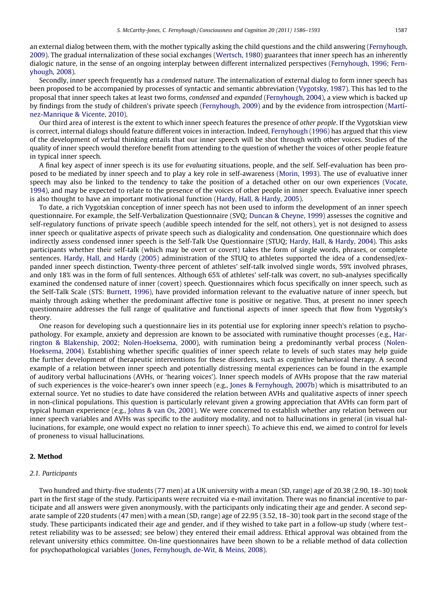an external dialog between them, with the mother typically asking the child questions and the child answering (Fernyhough, 2009). The gradual internalization of these social exchanges (Wertsch, 1980) guarantees that inner speech has an inherently dialogic nature, in the sense of an ongoing interplay between different internalized perspectives (Fernyhough, 1996; Fernyhough, 2008).

Secondly, inner speech frequently has a *condensed* nature. The internalization of external dialog to form inner speech has been proposed to be accompanied by processes of syntactic and semantic abbreviation (Vygotsky, 1987). This has led to the proposal that inner speech takes at least two forms, *condensed* and *expanded* (Fernyhough, 2004), a view which is backed up by findings from the study of children's private speech (Fernyhough, 2009) and by the evidence from introspection (Martínez-Manrique & Vicente, 2010).

Our third area of interest is the extent to which inner speech features the presence of *other people*. If the Vygotskian view is correct, internal dialogs should feature different voices in interaction. Indeed, Fernyhough (1996) has argued that this view of the development of verbal thinking entails that our inner speech will be shot through with other voices. Studies of the quality of inner speech would therefore benefit from attending to the question of whether the voices of other people feature in typical inner speech.

A final key aspect of inner speech is its use for *evaluating* situations, people, and the self. Self-evaluation has been proposed to be mediated by inner speech and to play a key role in self-awareness (Morin, 1993). The use of evaluative inner speech may also be linked to the tendency to take the position of a detached other on our own experiences (Vocate, 1994), and may be expected to relate to the presence of the voices of other people in inner speech. Evaluative inner speech is also thought to have an important motivational function (Hardy, Hall, & Hardy, 2005).

To date, a rich Vygotskian conception of inner speech has not been used to inform the development of an inner speech questionnaire. For example, the Self-Verbalization Questionnaire (SVQ; Duncan & Cheyne, 1999) assesses the cognitive and self-regulatory functions of private speech (audible speech intended for the self, not others), yet is not designed to assess inner speech or qualitative aspects of private speech such as dialogicality and condensation. One questionnaire which does indirectly assess condensed inner speech is the Self-Talk Use Questionnaire (STUQ; Hardy, Hall, & Hardy, 2004). This asks participants whether their self-talk (which may be overt or covert) takes the form of single words, phrases, or complete sentences. Hardy, Hall, and Hardy (2005) administration of the STUQ to athletes supported the idea of a condensed/expanded inner speech distinction. Twenty-three percent of athletes' self-talk involved single words, 59% involved phrases, and only 18% was in the form of full sentences. Although 65% of athletes' self-talk was covert, no sub-analyses specifically examined the condensed nature of inner (covert) speech. Questionnaires which focus specifically on inner speech, such as the Self-Talk Scale (STS: Burnett, 1996), have provided information relevant to the evaluative nature of inner speech, but mainly through asking whether the predominant affective tone is positive or negative. Thus, at present no inner speech questionnaire addresses the full range of qualitative and functional aspects of inner speech that flow from Vygotsky's theory.

One reason for developing such a questionnaire lies in its potential use for exploring inner speech's relation to psychopathology. For example, anxiety and depression are known to be associated with ruminative thought processes (e.g., Harrington & Blakenship, 2002; Nolen-Hoeksema, 2000), with rumination being a predominantly verbal process (Nolen-Hoeksema, 2004). Establishing whether specific qualities of inner speech relate to levels of such states may help guide the further development of therapeutic interventions for these disorders, such as cognitive behavioral therapy. A second example of a relation between inner speech and potentially distressing mental experiences can be found in the example of auditory verbal hallucinations (AVHs, or 'hearing voices'). Inner speech models of AVHs propose that the raw material of such experiences is the voice-hearer's own inner speech (e.g., Jones & Fernyhough, 2007b) which is misattributed to an external source. Yet no studies to date have considered the relation between AVHs and qualitative aspects of inner speech in non-clinical populations. This question is particularly relevant given a growing appreciation that AVHs can form part of typical human experience (e.g., Johns & van Os, 2001). We were concerned to establish whether any relation between our inner speech variables and AVHs was specific to the auditory modality, and not to hallucinations in general (in visual hallucinations, for example, one would expect no relation to inner speech). To achieve this end, we aimed to control for levels of proneness to visual hallucinations.

#### 2. Method

#### *2.1. Participants*

Two hundred and thirty-five students (77 men) at a UK university with a mean (SD, range) age of 20.38 (2.90, 18–30) took part in the first stage of the study. Participants were recruited via e-mail invitation. There was no financial incentive to participate and all answers were given anonymously, with the participants only indicating their age and gender. A second separate sample of 220 students (47 men) with a mean (SD, range) age of 22.95 (3.52, 18–30) took part in the second stage of the study. These participants indicated their age and gender, and if they wished to take part in a follow-up study (where test– retest reliability was to be assessed; see below) they entered their email address. Ethical approval was obtained from the relevant university ethics committee. On-line questionnaires have been shown to be a reliable method of data collection for psychopathological variables (Jones, Fernyhough, de-Wit, & Meins, 2008).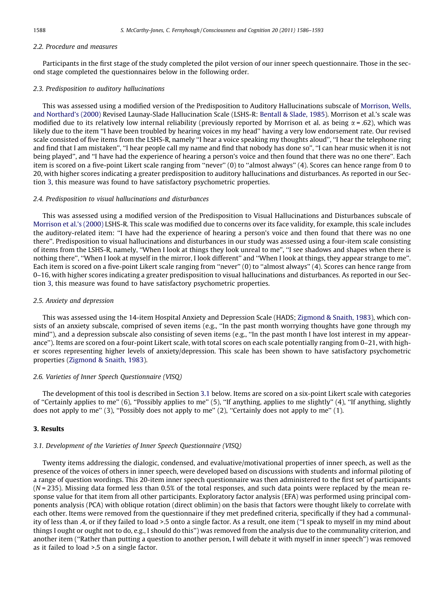#### *2.2. Procedure and measures*

Participants in the first stage of the study completed the pilot version of our inner speech questionnaire. Those in the second stage completed the questionnaires below in the following order.

#### *2.3. Predisposition to auditory hallucinations*

This was assessed using a modified version of the Predisposition to Auditory Hallucinations subscale of Morrison, Wells, and Northard's (2000) Revised Launay-Slade Hallucination Scale (LSHS-R: Bentall & Slade, 1985). Morrison et al.'s scale was modified due to its relatively low internal reliability (previously reported by Morrison et al. as being  $\alpha$  = .62), which was likely due to the item ''I have been troubled by hearing voices in my head'' having a very low endorsement rate. Our revised scale consisted of five items from the LSHS-R, namely ''I hear a voice speaking my thoughts aloud'', ''I hear the telephone ring and find that I am mistaken'', ''I hear people call my name and find that nobody has done so'', ''I can hear music when it is not being played'', and ''I have had the experience of hearing a person's voice and then found that there was no one there''. Each item is scored on a five-point Likert scale ranging from "never" (0) to "almost always" (4). Scores can hence range from 0 to 20, with higher scores indicating a greater predisposition to auditory hallucinations and disturbances. As reported in our Section 3, this measure was found to have satisfactory psychometric properties.

#### *2.4. Predisposition to visual hallucinations and disturbances*

This was assessed using a modified version of the Predisposition to Visual Hallucinations and Disturbances subscale of Morrison et al.'s (2000) LSHS-R. This scale was modified due to concerns over its face validity, for example, this scale includes the auditory-related item: ''I have had the experience of hearing a person's voice and then found that there was no one there''. Predisposition to visual hallucinations and disturbances in our study was assessed using a four-item scale consisting of items from the LSHS-R, namely, ''When I look at things they look unreal to me'', ''I see shadows and shapes when there is nothing there'', ''When I look at myself in the mirror, I look different'' and ''When I look at things, they appear strange to me''. Each item is scored on a five-point Likert scale ranging from "never" (0) to "almost always" (4). Scores can hence range from 0–16, with higher scores indicating a greater predisposition to visual hallucinations and disturbances. As reported in our Section 3, this measure was found to have satisfactory psychometric properties.

#### *2.5. Anxiety and depression*

This was assessed using the 14-item Hospital Anxiety and Depression Scale (HADS; Zigmond & Snaith, 1983), which consists of an anxiety subscale, comprised of seven items (e.g., "In the past month worrying thoughts have gone through my mind''), and a depression subscale also consisting of seven items (e.g., ''In the past month I have lost interest in my appearance''). Items are scored on a four-point Likert scale, with total scores on each scale potentially ranging from 0–21, with higher scores representing higher levels of anxiety/depression. This scale has been shown to have satisfactory psychometric properties (Zigmond & Snaith, 1983).

#### *2.6. Varieties of Inner Speech Questionnaire (VISQ)*

The development of this tool is described in Section 3.1 below. Items are scored on a six-point Likert scale with categories of ''Certainly applies to me'' (6), ''Possibly applies to me'' (5), ''If anything, applies to me slightly'' (4), ''If anything, slightly does not apply to me'' (3), ''Possibly does not apply to me'' (2), ''Certainly does not apply to me'' (1).

#### 3. Results

#### *3.1. Development of the Varieties of Inner Speech Questionnaire (VISQ)*

Twenty items addressing the dialogic, condensed, and evaluative/motivational properties of inner speech, as well as the presence of the voices of others in inner speech, were developed based on discussions with students and informal piloting of a range of question wordings. This 20-item inner speech questionnaire was then administered to the first set of participants (*N* = 235). Missing data formed less than 0.5% of the total responses, and such data points were replaced by the mean response value for that item from all other participants. Exploratory factor analysis (EFA) was performed using principal components analysis (PCA) with oblique rotation (direct oblimin) on the basis that factors were thought likely to correlate with each other. Items were removed from the questionnaire if they met predefined criteria, specifically if they had a communality of less than .4, or if they failed to load >.5 onto a single factor. As a result, one item (''I speak to myself in my mind about things I ought or ought not to do, e.g., I should do this'') was removed from the analysis due to the communality criterion, and another item (''Rather than putting a question to another person, I will debate it with myself in inner speech'') was removed as it failed to load >.5 on a single factor.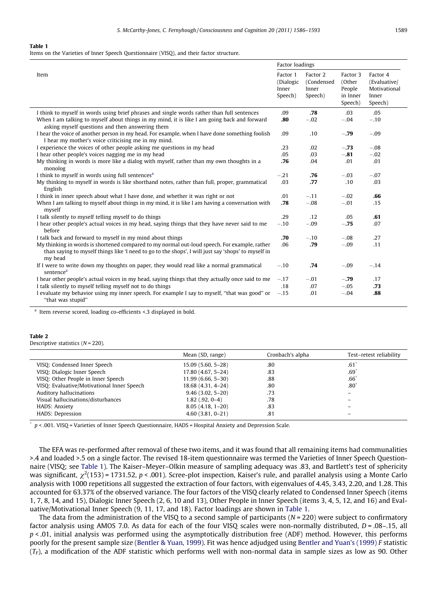#### Table 1

Items on the Varieties of Inner Speech Questionnaire (VISQ), and their factor structure.

|                                                                                                                                                                                                                | Factor loadings                           |                                            |                                                     |                                                              |  |
|----------------------------------------------------------------------------------------------------------------------------------------------------------------------------------------------------------------|-------------------------------------------|--------------------------------------------|-----------------------------------------------------|--------------------------------------------------------------|--|
| Item                                                                                                                                                                                                           | Factor 1<br>(Dialogic<br>Inner<br>Speech) | Factor 2<br>(Condensed<br>Inner<br>Speech) | Factor 3<br>(Other<br>People<br>in Inner<br>Speech) | Factor 4<br>(Evaluative/<br>Motivational<br>Inner<br>Speech) |  |
| I think to myself in words using brief phrases and single words rather than full sentences                                                                                                                     | .09                                       | .78                                        | .03                                                 | .05                                                          |  |
| When I am talking to myself about things in my mind, it is like I am going back and forward<br>asking myself questions and then answering them                                                                 | .80                                       | $-.02$                                     | $-.04$                                              | $-.10$                                                       |  |
| I hear the voice of another person in my head. For example, when I have done something foolish<br>I hear my mother's voice criticising me in my mind.                                                          | .09                                       | .10                                        | $-.79$                                              | $-.09$                                                       |  |
| I experience the voices of other people asking me questions in my head                                                                                                                                         | .23                                       | .02                                        | $-.73$                                              | $-.08$                                                       |  |
| I hear other people's voices nagging me in my head                                                                                                                                                             | .05                                       | .03                                        | $-.81$                                              | $-.02$                                                       |  |
| My thinking in words is more like a dialog with myself, rather than my own thoughts in a<br>monolog                                                                                                            | .76                                       | .04                                        | .01                                                 | .01                                                          |  |
| I think to myself in words using full sentences <sup>a</sup>                                                                                                                                                   | $-.21$                                    | .76                                        | $-.03$                                              | $-.07$                                                       |  |
| My thinking to myself in words is like shorthand notes, rather than full, proper, grammatical<br>English                                                                                                       | .03                                       | .77                                        | .10                                                 | .03                                                          |  |
| I think in inner speech about what I have done, and whether it was right or not                                                                                                                                | .01                                       | $-.11$                                     | $-.02$                                              | .66                                                          |  |
| When I am talking to myself about things in my mind, it is like I am having a conversation with<br>myself                                                                                                      | .78                                       | $-.08$                                     | $-.01$                                              | .15                                                          |  |
| I talk silently to myself telling myself to do things                                                                                                                                                          | .29                                       | .12                                        | .05                                                 | .61                                                          |  |
| I hear other people's actual voices in my head, saying things that they have never said to me<br>before                                                                                                        | $-.10$                                    | $-.09$                                     | $-.75$                                              | .07                                                          |  |
| I talk back and forward to myself in my mind about things                                                                                                                                                      | .70                                       | $-.10$                                     | $-.08$                                              | .27                                                          |  |
| My thinking in words is shortened compared to my normal out-loud speech. For example, rather<br>than saying to myself things like 'I need to go to the shops', I will just say 'shops' to myself in<br>my head | .06                                       | .79                                        | $-.09$                                              | .11                                                          |  |
| If I were to write down my thoughts on paper, they would read like a normal grammatical<br>sentence <sup>a</sup>                                                                                               | $-.10$                                    | .74                                        | $-.09$                                              | $-.14$                                                       |  |
| I hear other people's actual voices in my head, saying things that they actually once said to me                                                                                                               | $-.17$                                    | $-.01$                                     | $-.79$                                              | .17                                                          |  |
| I talk silently to myself telling myself not to do things                                                                                                                                                      | .18                                       | .07                                        | $-.05$                                              | .73                                                          |  |
| I evaluate my behavior using my inner speech. For example I say to myself, "that was good" or<br>"that was stupid"                                                                                             | $-.15$                                    | .01                                        | $-.04$                                              | .88                                                          |  |

<sup>a</sup> Item reverse scored, loading co-efficients <.3 displayed in bold.

#### Table 2

Descriptive statistics (*N* = 220).

| Cronbach's alpha<br>Mean (SD, range) | Test-retest reliability |
|--------------------------------------|-------------------------|
| .80<br>$15.09(5.60, 5-28)$           | .61                     |
| 17.80 (4.67, 5-24)<br>.83            | $.69^{\degree}$         |
| .88<br>$11.99(6.66, 5-30)$           | .66 <sup>°</sup>        |
| 18.68 (4.31, 4-24)<br>.80            | $.80^*$                 |
| $9.46(3.02, 5-20)$<br>.73            | -                       |
| .78<br>$1.82$ (.92, 0-4)             |                         |
| $8.05(4.18, 1-20)$<br>.83            |                         |
| $4.60(3.81, 0-21)$<br>.81            |                         |
|                                      |                         |

\* *p* < .001. VISQ = Varieties of Inner Speech Questionnaire, HADS = Hospital Anxiety and Depression Scale.

The EFA was re-performed after removal of these two items, and it was found that all remaining items had communalities >.4 and loaded >.5 on a single factor. The revised 18-item questionnaire was termed the Varieties of Inner Speech Questionnaire (VISQ; see Table 1). The Kaiser–Meyer–Olkin measure of sampling adequacy was .83, and Bartlett's test of sphericity was significant,  $\chi^2$ (153) = 1731.52, p < .001). Scree-plot inspection, Kaiser's rule, and parallel analysis using a Monte Carlo analysis with 1000 repetitions all suggested the extraction of four factors, with eigenvalues of 4.45, 3.43, 2.20, and 1.28. This accounted for 63.37% of the observed variance. The four factors of the VISQ clearly related to Condensed Inner Speech (items 1, 7, 8, 14, and 15), Dialogic Inner Speech (2, 6, 10 and 13), Other People in Inner Speech (items 3, 4, 5, 12, and 16) and Evaluative/Motivational Inner Speech (9, 11, 17, and 18). Factor loadings are shown in Table 1.

The data from the administration of the VISQ to a second sample of participants (*N* = 220) were subject to confirmatory factor analysis using AMOS 7.0. As data for each of the four VISQ scales were non-normally distributed, *D* = .08–.15, all *p* < .01, initial analysis was performed using the asymptotically distribution free (ADF) method. However, this performs poorly for the present sample size (Bentler & Yuan, 1999). Fit was hence adjudged using Bentler and Yuan's (1999) *F* statistic (*TF*), a modification of the ADF statistic which performs well with non-normal data in sample sizes as low as 90. Other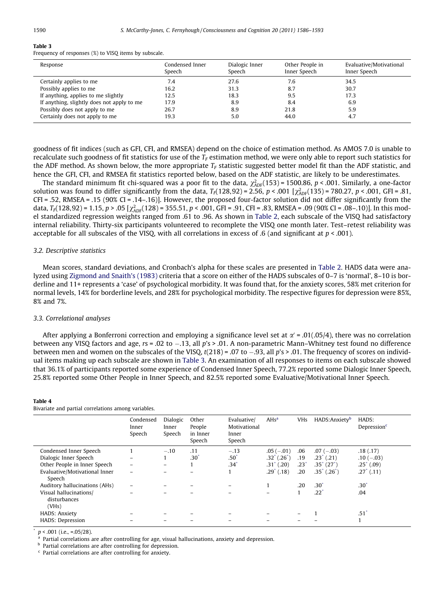#### Table 3

Frequency of responses (%) to VISQ items by subscale.

| Response                                   | Condensed Inner<br>Speech | Dialogic Inner<br>Speech | Other People in<br>Inner Speech | Evaluative/Motivational<br>Inner Speech |  |
|--------------------------------------------|---------------------------|--------------------------|---------------------------------|-----------------------------------------|--|
| Certainly applies to me                    | 7.4                       | 27.6                     | 7.6                             | 34.5                                    |  |
| Possibly applies to me                     | 16.2                      | 31.3                     | 8.7                             | 30.7                                    |  |
| If anything, applies to me slightly        | 12.5                      | 18.3                     | 9.5                             | 17.3                                    |  |
| If anything, slightly does not apply to me | 17.9                      | 8.9                      | 8.4                             | 6.9                                     |  |
| Possibly does not apply to me              | 26.7                      | 8.9                      | 21.8                            | 5.9                                     |  |
| Certainly does not apply to me             | 19.3                      | 5.0                      | 44.0                            | 4.7                                     |  |

goodness of fit indices (such as GFI, CFI, and RMSEA) depend on the choice of estimation method. As AMOS 7.0 is unable to recalculate such goodness of fit statistics for use of the  $T_F$  estimation method, we were only able to report such statistics for the ADF method. As shown below, the more appropriate *T<sup>F</sup>* statistic suggested better model fit than the ADF statistic, and hence the GFI, CFI, and RMSEA fit statistics reported below, based on the ADF statistic, are likely to be underestimates.

The standard minimum fit chi-squared was a poor fit to the data,  $\chi^2_{\rm ADF}(153)$  = 1500.86, p < .001. Similarly, a one-factor solution was found to differ significantly from the data,  $T_F(128,92)$  = 2.56,  $p < .001$   $[\chi^2_{ADF}(135)$  = 780.27,  $p < .001$ , GFI = .81, CFI = .52, RMSEA = .15 (90% CI = .14–.16)]. However, the proposed four-factor solution did not differ significantly from the data, *T<sub>F</sub>*(128,92) = 1.15, *p* > .05 [ $\chi^2_{ADF}$ (128) = 355.51, *p* < .001, GFI = .91, CFI = .83, RMSEA = .09 (90% CI = .08–.10)]. In this model standardized regression weights ranged from .61 to .96. As shown in Table 2, each subscale of the VISQ had satisfactory internal reliability. Thirty-six participants volunteered to recomplete the VISQ one month later. Test–retest reliability was acceptable for all subscales of the VISQ, with all correlations in excess of .6 (and significant at *p* < .001).

#### *3.2. Descriptive statistics*

Mean scores, standard deviations, and Cronbach's alpha for these scales are presented in Table 2. HADS data were analyzed using Zigmond and Snaith's (1983) criteria that a score on either of the HADS subscales of 0–7 is 'normal', 8–10 is borderline and 11+ represents a 'case' of psychological morbidity. It was found that, for the anxiety scores, 58% met criterion for normal levels, 14% for borderline levels, and 28% for psychological morbidity. The respective figures for depression were 85%, 8% and 7%.

#### *3.3. Correlational analyses*

After applying a Bonferroni correction and employing a significance level set at  $\alpha' = .01(.05/4)$ , there was no correlation between any VISQ factors and age,  $rs = .02$  to  $-.13$ , all  $p's > .01$ . A non-parametric Mann–Whitney test found no difference between men and women on the subscales of the VISQ,  $t(218) = .07$  to  $-.93$ , all  $p's > .01$ . The frequency of scores on individual items making up each subscale are shown in Table 3. An examination of all responses to items on each subscale showed that 36.1% of participants reported some experience of Condensed Inner Speech, 77.2% reported some Dialogic Inner Speech, 25.8% reported some Other People in Inner Speech, and 82.5% reported some Evaluative/Motivational Inner Speech.

#### Table 4

Bivariate and partial correlations among variables.

|                                         | Condensed<br>Inner<br>Speech | Dialogic<br>Inner<br>Speech | Other<br>People<br>in Inner<br>Speech | Evaluative/<br>Motivational<br>Inner<br>Speech | $A$ Hs <sup>a</sup>            | <b>VHs</b>      | HADS: Anxiety <sup>b</sup>         | HADS:<br>Depression <sup>c</sup> |
|-----------------------------------------|------------------------------|-----------------------------|---------------------------------------|------------------------------------------------|--------------------------------|-----------------|------------------------------------|----------------------------------|
| Condensed Inner Speech                  |                              | $-.10$                      | .11                                   | $-.13$                                         | $.05(-.01)$                    | .06             | $.07(-.03)$                        | .18(.17)                         |
| Dialogic Inner Speech                   |                              |                             | $.30*$                                | $.50^{\degree}$                                | $.32^{\degree}(.26^{\degree})$ | .19             | $.23^{\ast}$ (.21)                 | $.10(-.03)$                      |
| Other People in Inner Speech            | $\overline{\phantom{0}}$     |                             |                                       | .34 <sup>°</sup>                               | $.31^{\degree}$ (.20)          | $.23^{\degree}$ | $.35^{\degree}$ (27 $^{\degree}$ ) | $.25^{\degree}$ (.09)            |
| Evaluative/Motivational Inner<br>Speech | $\overline{\phantom{m}}$     |                             |                                       |                                                | $.29^{\circ}$ (.18)            | .20             | $.35^{\circ}$ (.26 <sup>*</sup> )  | $.27^{\circ}(.11)$               |
| Auditory hallucinations (AHs)           |                              |                             |                                       |                                                |                                | .20             | .30 <sup>°</sup>                   | $.30^{\circ}$                    |
| Visual hallucinations/<br>disturbances  | $\qquad \qquad -$            |                             |                                       |                                                | $\overline{\phantom{m}}$       |                 | .22'                               | .04                              |
| (VHs)                                   |                              |                             |                                       |                                                |                                |                 |                                    |                                  |
| HADS: Anxiety                           |                              |                             |                                       |                                                |                                |                 |                                    | .51                              |
| HADS: Depression                        |                              |                             |                                       |                                                |                                |                 |                                    |                                  |

\* *p* < .001 (i.e., =.05/28).

a Partial correlations are after controlling for age, visual hallucinations, anxiety and depression.

**b** Partial correlations are after controlling for depression.

<sup>c</sup> Partial correlations are after controlling for anxiety.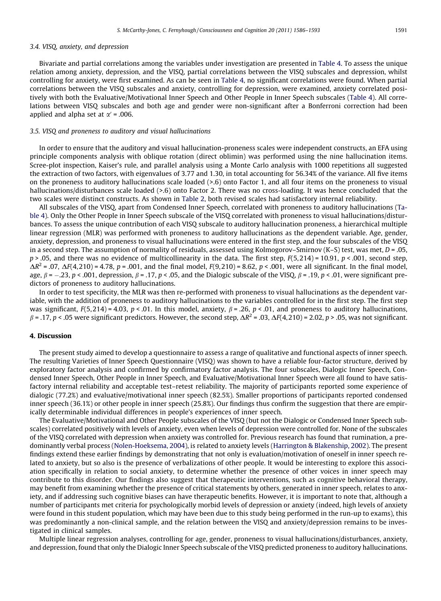#### *3.4. VISQ, anxiety, and depression*

Bivariate and partial correlations among the variables under investigation are presented in Table 4. To assess the unique relation among anxiety, depression, and the VISQ, partial correlations between the VISQ subscales and depression, whilst controlling for anxiety, were first examined. As can be seen in Table 4, no significant correlations were found. When partial correlations between the VISQ subscales and anxiety, controlling for depression, were examined, anxiety correlated positively with both the Evaluative/Motivational Inner Speech and Other People in Inner Speech subscales (Table 4). All correlations between VISQ subscales and both age and gender were non-significant after a Bonferroni correction had been applied and alpha set at  $\alpha'$  = .006.

#### *3.5. VISQ and proneness to auditory and visual hallucinations*

In order to ensure that the auditory and visual hallucination-proneness scales were independent constructs, an EFA using principle components analysis with oblique rotation (direct oblimin) was performed using the nine hallucination items. Scree-plot inspection, Kaiser's rule, and parallel analysis using a Monte Carlo analysis with 1000 repetitions all suggested the extraction of two factors, with eigenvalues of 3.77 and 1.30, in total accounting for 56.34% of the variance. All five items on the proneness to auditory hallucinations scale loaded (>.6) onto Factor 1, and all four items on the proneness to visual hallucinations/disturbances scale loaded (>.6) onto Factor 2. There was no cross-loading. It was hence concluded that the two scales were distinct constructs. As shown in Table 2, both revised scales had satisfactory internal reliability.

All subscales of the VISQ, apart from Condensed Inner Speech, correlated with proneness to auditory hallucinations (Table 4). Only the Other People in Inner Speech subscale of the VISQ correlated with proneness to visual hallucinations/disturbances. To assess the unique contribution of each VISQ subscale to auditory hallucination proneness, a hierarchical multiple linear regression (MLR) was performed with proneness to auditory hallucinations as the dependent variable. Age, gender, anxiety, depression, and proneness to visual hallucinations were entered in the first step, and the four subscales of the VISQ in a second step. The assumption of normality of residuals, assessed using Kolmogorov–Smirnov (K–S) test, was met, *D* = .05, *p* > .05, and there was no evidence of multicollinearity in the data. The first step, *F*(5,214) = 10.91, *p* < .001, second step, D*R* 2 = .07, D*F*(4,210) = 4.78, *p* = .001, and the final model, *F*(9,210) = 8.62, *p* < .001, were all significant. In the final model, age,  $\beta = -0.23$ ,  $p < .001$ , depression,  $\beta = .17$ ,  $p < .05$ , and the Dialogic subscale of the VISQ,  $\beta = .19$ ,  $p < .01$ , were significant predictors of proneness to auditory hallucinations.

In order to test specificity, the MLR was then re-performed with proneness to visual hallucinations as the dependent variable, with the addition of proneness to auditory hallucinations to the variables controlled for in the first step. The first step was significant,  $F(5,214) = 4.03$ ,  $p < .01$ . In this model, anxiety,  $\beta = .26$ ,  $p < .01$ , and proneness to auditory hallucinations,  $\beta$  = .17,  $p$  < .05 were significant predictors. However, the second step,  $\Delta R^2$  = .03,  $\Delta F(4,210)$  = 2.02,  $p$  > .05, was not significant.

#### 4. Discussion

The present study aimed to develop a questionnaire to assess a range of qualitative and functional aspects of inner speech. The resulting Varieties of Inner Speech Questionnaire (VISQ) was shown to have a reliable four-factor structure, derived by exploratory factor analysis and confirmed by confirmatory factor analysis. The four subscales, Dialogic Inner Speech, Condensed Inner Speech, Other People in Inner Speech, and Evaluative/Motivational Inner Speech were all found to have satisfactory internal reliability and acceptable test–retest reliability. The majority of participants reported some experience of dialogic (77.2%) and evaluative/motivational inner speech (82.5%). Smaller proportions of participants reported condensed inner speech (36.1%) or other people in inner speech (25.8%). Our findings thus confirm the suggestion that there are empirically determinable individual differences in people's experiences of inner speech.

The Evaluative/Motivational and Other People subscales of the VISQ (but not the Dialogic or Condensed Inner Speech subscales) correlated positively with levels of anxiety, even when levels of depression were controlled for. None of the subscales of the VISQ correlated with depression when anxiety was controlled for. Previous research has found that rumination, a predominantly verbal process (Nolen-Hoeksema, 2004), is related to anxiety levels (Harrington & Blakenship, 2002). The present findings extend these earlier findings by demonstrating that not only is evaluation/motivation of oneself in inner speech related to anxiety, but so also is the presence of verbalizations of other people. It would be interesting to explore this association specifically in relation to social anxiety, to determine whether the presence of other voices in inner speech may contribute to this disorder. Our findings also suggest that therapeutic interventions, such as cognitive behavioral therapy, may benefit from examining whether the presence of critical statements by others, generated in inner speech, relates to anxiety, and if addressing such cognitive biases can have therapeutic benefits. However, it is important to note that, although a number of participants met criteria for psychologically morbid levels of depression or anxiety (indeed, high levels of anxiety were found in this student population, which may have been due to this study being performed in the run-up to exams), this was predominantly a non-clinical sample, and the relation between the VISQ and anxiety/depression remains to be investigated in clinical samples.

Multiple linear regression analyses, controlling for age, gender, proneness to visual hallucinations/disturbances, anxiety, and depression, found that only the Dialogic Inner Speech subscale of the VISQ predicted proneness to auditory hallucinations.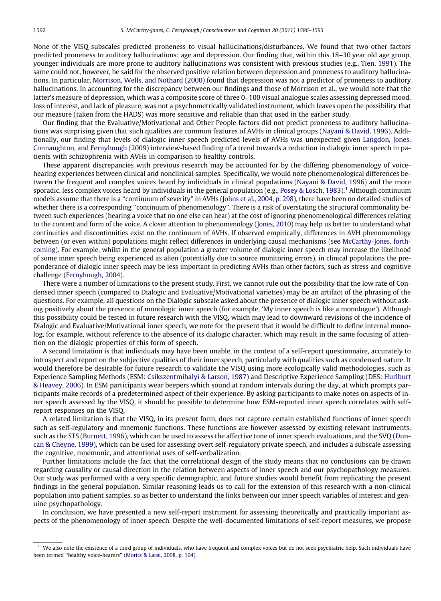None of the VISQ subscales predicted proneness to visual hallucinations/disturbances. We found that two other factors predicted proneness to auditory hallucinations: age and depression. Our finding that, within this 18–30 year old age group, younger individuals are more prone to auditory hallucinations was consistent with previous studies (e.g., Tien, 1991). The same could not, however, be said for the observed positive relation between depression and proneness to auditory hallucinations. In particular, Morrison, Wells, and Nothard (2000) found that depression was not a predictor of proneness to auditory hallucinations. In accounting for the discrepancy between our findings and those of Morrison et al., we would note that the latter's measure of depression, which was a composite score of three 0–100 visual analogue scales assessing depressed mood, loss of interest, and lack of pleasure, was not a psychometrically validated instrument, which leaves open the possibility that our measure (taken from the HADS) was more sensitive and reliable than that used in the earlier study.

Our finding that the Evaluative/Motivational and Other People factors did not predict proneness to auditory hallucinations was surprising given that such qualities are common features of AVHs in clinical groups (Nayani & David, 1996). Additionally, our finding that levels of dialogic inner speech predicted levels of AVHs was unexpected given Langdon, Jones, Connaughton, and Fernyhough (2009) interview-based finding of a trend towards a reduction in dialogic inner speech in patients with schizophrenia with AVHs in comparison to healthy controls.

These apparent discrepancies with previous research may be accounted for by the differing phenomenology of voicehearing experiences between clinical and nonclinical samples. Specifically, we would note phenomenological differences between the frequent and complex voices heard by individuals in clinical populations (Nayani & David, 1996) and the more sporadic, less complex voices heard by individuals in the general population (e.g., Posey & Losch, 1983).<sup>1</sup> Although continuum models assume that there is a ''continuum of severity'' in AVHs (Johns et al., 2004, p. 298), there have been no detailed studies of whether there is a corresponding "continuum of phenomenology". There is a risk of overstating the structural commonality between such experiences (hearing a voice that no one else can hear) at the cost of ignoring phenomenological differences relating to the content and form of the voice. A closer attention to phenomenology (Jones, 2010) may help us better to understand what continuities and discontinuities exist on the continuum of AVHs. If observed empirically, differences in AVH phenomenology between (or even within) populations might reflect differences in underlying causal mechanisms (see McCarthy-Jones, forthcoming). For example, whilst in the general population a greater volume of dialogic inner speech may increase the likelihood of some inner speech being experienced as alien (potentially due to source monitoring errors), in clinical populations the preponderance of dialogic inner speech may be less important in predicting AVHs than other factors, such as stress and cognitive challenge (Fernyhough, 2004).

There were a number of limitations to the present study. First, we cannot rule out the possibility that the low rate of Condensed inner speech (compared to Dialogic and Evaluative/Motivational varieties) may be an artifact of the phrasing of the questions. For example, all questions on the Dialogic subscale asked about the presence of dialogic inner speech without asking positively about the presence of monologic inner speech (for example, 'My inner speech is like a monologue'). Although this possibility could be tested in future research with the VISQ, which may lead to downward revisions of the incidence of Dialogic and Evaluative/Motivational inner speech, we note for the present that it would be difficult to define internal monolog, for example, without reference to the absence of its dialogic character, which may result in the same focusing of attention on the dialogic properties of this form of speech.

A second limitation is that individuals may have been unable, in the context of a self-report questionnaire, accurately to introspect and report on the subjective qualities of their inner speech, particularly with qualities such as condensed nature. It would therefore be desirable for future research to validate the VISQ using more ecologically valid methodologies, such as Experience Sampling Methods (ESM: Csikszentmihalyi & Larson, 1987) and Descriptive Experience Sampling (DES: Hurlburt & Heavey, 2006). In ESM participants wear beepers which sound at random intervals during the day, at which prompts participants make records of a predetermined aspect of their experience. By asking participants to make notes on aspects of inner speech assessed by the VISQ, it should be possible to determine how ESM-reported inner speech correlates with selfreport responses on the VISQ.

A related limitation is that the VISQ, in its present form, does not capture certain established functions of inner speech such as self-regulatory and mnemonic functions. These functions are however assessed by existing relevant instruments, such as the STS (Burnett, 1996), which can be used to assess the affective tone of inner speech evaluations, and the SVQ (Duncan & Cheyne, 1999), which can be used for assessing overt self-regulatory private speech, and includes a subscale assessing the cognitive, mnemonic, and attentional uses of self-verbalization.

Further limitations include the fact that the correlational design of the study means that no conclusions can be drawn regarding causality or causal direction in the relation between aspects of inner speech and our psychopathology measures. Our study was performed with a very specific demographic, and future studies would benefit from replicating the present findings in the general population. Similar reasoning leads us to call for the extension of this research with a non-clinical population into patient samples, so as better to understand the links between our inner speech variables of interest and genuine psychopathology.

In conclusion, we have presented a new self-report instrument for assessing theoretically and practically important aspects of the phenomenology of inner speech. Despite the well-documented limitations of self-report measures, we propose

 $<sup>1</sup>$  We also note the existence of a third group of individuals, who have frequent and complex voices but do not seek psychiatric help. Such individuals have</sup> been termed ''healthy voice-hearers'' (Moritz & Larøi, 2008, p. 104).